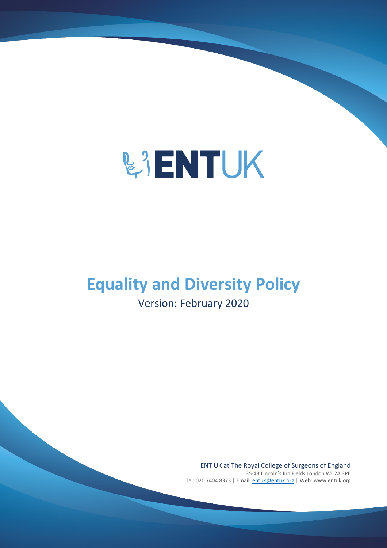

## **Equality and Diversity Policy**

### Version: February 2020

ENT UK at The Royal College of Surgeons of England 35-43 Lincoln's Inn Fields London WC2A 3PE Tel: 020 7404 8373 | Email: [entuk@entuk.org](mailto:entuk@entuk.org) | Web: www.entuk.org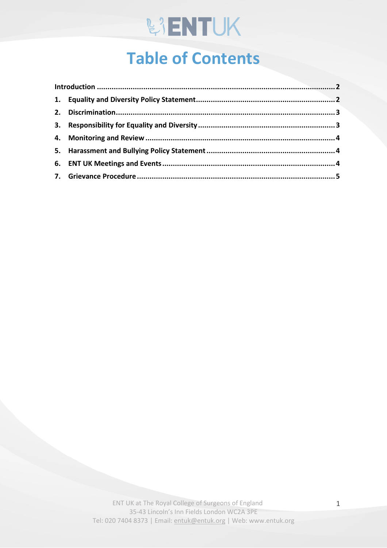# **WENTUK**

## **Table of Contents**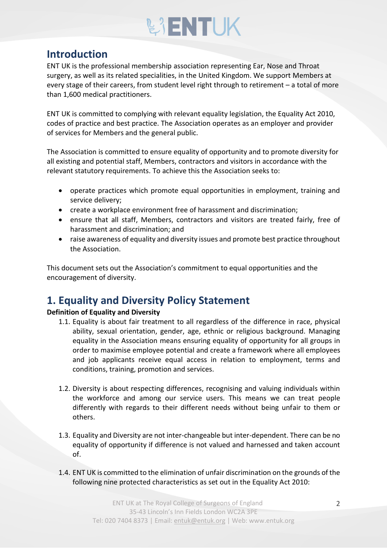# **BIENTUK**

### <span id="page-2-0"></span>**Introduction**

ENT UK is the professional membership association representing Ear, Nose and Throat surgery, as well as its related specialities, in the United Kingdom. We support Members at every stage of their careers, from student level right through to retirement – a total of more than 1,600 medical practitioners.

ENT UK is committed to complying with relevant equality legislation, the Equality Act 2010, codes of practice and best practice. The Association operates as an employer and provider of services for Members and the general public.

The Association is committed to ensure equality of opportunity and to promote diversity for all existing and potential staff, Members, contractors and visitors in accordance with the relevant statutory requirements. To achieve this the Association seeks to:

- operate practices which promote equal opportunities in employment, training and service delivery;
- create a workplace environment free of harassment and discrimination;
- ensure that all staff, Members, contractors and visitors are treated fairly, free of harassment and discrimination; and
- raise awareness of equality and diversity issues and promote best practice throughout the Association.

This document sets out the Association's commitment to equal opportunities and the encouragement of diversity.

### <span id="page-2-1"></span>**1. Equality and Diversity Policy Statement**

#### **Definition of Equality and Diversity**

- 1.1. Equality is about fair treatment to all regardless of the difference in race, physical ability, sexual orientation, gender, age, ethnic or religious background. Managing equality in the Association means ensuring equality of opportunity for all groups in order to maximise employee potential and create a framework where all employees and job applicants receive equal access in relation to employment, terms and conditions, training, promotion and services.
- 1.2. Diversity is about respecting differences, recognising and valuing individuals within the workforce and among our service users. This means we can treat people differently with regards to their different needs without being unfair to them or others.
- 1.3. Equality and Diversity are not inter-changeable but inter-dependent. There can be no equality of opportunity if difference is not valued and harnessed and taken account of.
- 1.4. ENT UK is committed to the elimination of unfair discrimination on the grounds of the following nine protected characteristics as set out in the Equality Act 2010: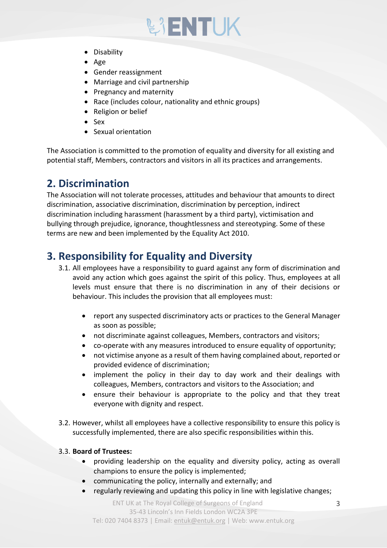# **BIENTUK**

- Disability
- Age
- Gender reassignment
- Marriage and civil partnership
- Pregnancy and maternity
- Race (includes colour, nationality and ethnic groups)
- Religion or belief
- Sex
- Sexual orientation

The Association is committed to the promotion of equality and diversity for all existing and potential staff, Members, contractors and visitors in all its practices and arrangements.

### <span id="page-3-0"></span>**2. Discrimination**

The Association will not tolerate processes, attitudes and behaviour that amounts to direct discrimination, associative discrimination, discrimination by perception, indirect discrimination including harassment (harassment by a third party), victimisation and bullying through prejudice, ignorance, thoughtlessness and stereotyping. Some of these terms are new and been implemented by the Equality Act 2010.

#### <span id="page-3-1"></span>**3. Responsibility for Equality and Diversity**

- 3.1. All employees have a responsibility to guard against any form of discrimination and avoid any action which goes against the spirit of this policy. Thus, employees at all levels must ensure that there is no discrimination in any of their decisions or behaviour. This includes the provision that all employees must:
	- report any suspected discriminatory acts or practices to the General Manager as soon as possible;
	- not discriminate against colleagues, Members, contractors and visitors;
	- co-operate with any measures introduced to ensure equality of opportunity;
	- not victimise anyone as a result of them having complained about, reported or provided evidence of discrimination;
	- implement the policy in their day to day work and their dealings with colleagues, Members, contractors and visitors to the Association; and
	- ensure their behaviour is appropriate to the policy and that they treat everyone with dignity and respect.
- 3.2. However, whilst all employees have a collective responsibility to ensure this policy is successfully implemented, there are also specific responsibilities within this.

#### 3.3. **Board of Trustees:**

- providing leadership on the equality and diversity policy, acting as overall champions to ensure the policy is implemented;
- communicating the policy, internally and externally; and
- regularly reviewing and updating this policy in line with legislative changes;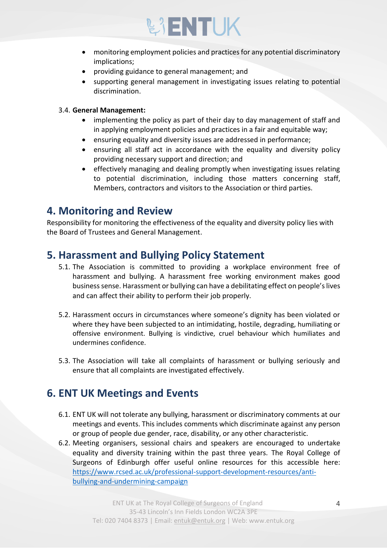

- monitoring employment policies and practices for any potential discriminatory implications;
- providing guidance to general management; and
- supporting general management in investigating issues relating to potential discrimination.

#### 3.4. **General Management:**

- implementing the policy as part of their day to day management of staff and in applying employment policies and practices in a fair and equitable way;
- ensuring equality and diversity issues are addressed in performance;
- ensuring all staff act in accordance with the equality and diversity policy providing necessary support and direction; and
- effectively managing and dealing promptly when investigating issues relating to potential discrimination, including those matters concerning staff, Members, contractors and visitors to the Association or third parties.

#### <span id="page-4-0"></span>**4. Monitoring and Review**

Responsibility for monitoring the effectiveness of the equality and diversity policy lies with the Board of Trustees and General Management.

#### <span id="page-4-1"></span>**5. Harassment and Bullying Policy Statement**

- 5.1. The Association is committed to providing a workplace environment free of harassment and bullying. A harassment free working environment makes good business sense. Harassment or bullying can have a debilitating effect on people's lives and can affect their ability to perform their job properly.
- 5.2. Harassment occurs in circumstances where someone's dignity has been violated or where they have been subjected to an intimidating, hostile, degrading, humiliating or offensive environment. Bullying is vindictive, cruel behaviour which humiliates and undermines confidence.
- 5.3. The Association will take all complaints of harassment or bullying seriously and ensure that all complaints are investigated effectively.

#### <span id="page-4-2"></span>**6. ENT UK Meetings and Events**

- 6.1. ENT UK will not tolerate any bullying, harassment or discriminatory comments at our meetings and events. This includes comments which discriminate against any person or group of people due gender, race, disability, or any other characteristic.
- 6.2. Meeting organisers, sessional chairs and speakers are encouraged to undertake equality and diversity training within the past three years. The Royal College of Surgeons of Edinburgh offer useful online resources for this accessible here: [https://www.rcsed.ac.uk/professional-support-development-resources/anti](https://www.rcsed.ac.uk/professional-support-development-resources/anti-bullying-and-undermining-campaign)[bullying-and-undermining-campaign](https://www.rcsed.ac.uk/professional-support-development-resources/anti-bullying-and-undermining-campaign)